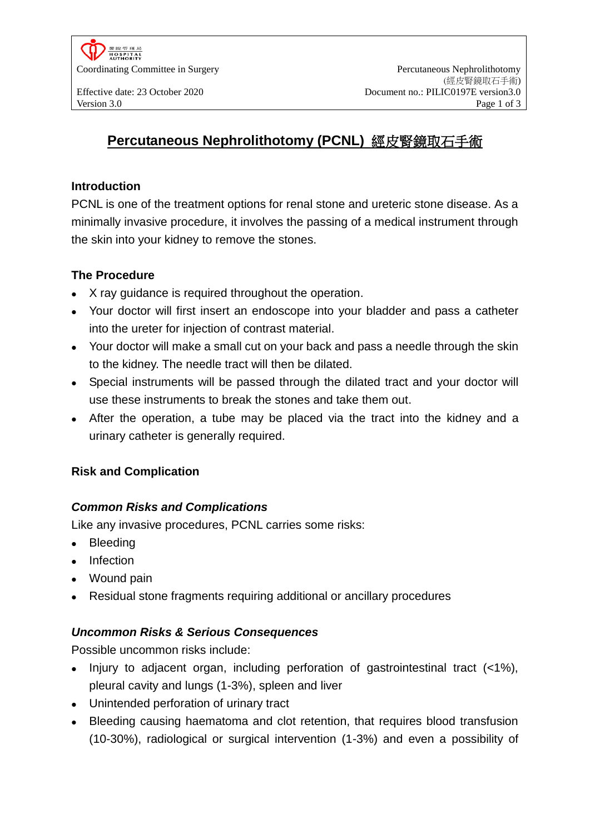

# **Percutaneous Nephrolithotomy (PCNL)** 經皮腎鏡取石手術

#### **Introduction**

PCNL is one of the treatment options for renal stone and ureteric stone disease. As a minimally invasive procedure, it involves the passing of a medical instrument through the skin into your kidney to remove the stones.

#### **The Procedure**

- X ray guidance is required throughout the operation.
- Your doctor will first insert an endoscope into your bladder and pass a catheter into the ureter for injection of contrast material.
- Your doctor will make a small cut on your back and pass a needle through the skin to the kidney. The needle tract will then be dilated.
- Special instruments will be passed through the dilated tract and your doctor will use these instruments to break the stones and take them out.
- After the operation, a tube may be placed via the tract into the kidney and a urinary catheter is generally required.

### **Risk and Complication**

### *Common Risks and Complications*

Like any invasive procedures, PCNL carries some risks:

- Bleeding
- Infection
- Wound pain
- Residual stone fragments requiring additional or ancillary procedures

### *Uncommon Risks & Serious Consequences*

Possible uncommon risks include:

- Injury to adjacent organ, including perforation of gastrointestinal tract (<1%), pleural cavity and lungs (1-3%), spleen and liver
- Unintended perforation of urinary tract
- Bleeding causing haematoma and clot retention, that requires blood transfusion (10-30%), radiological or surgical intervention (1-3%) and even a possibility of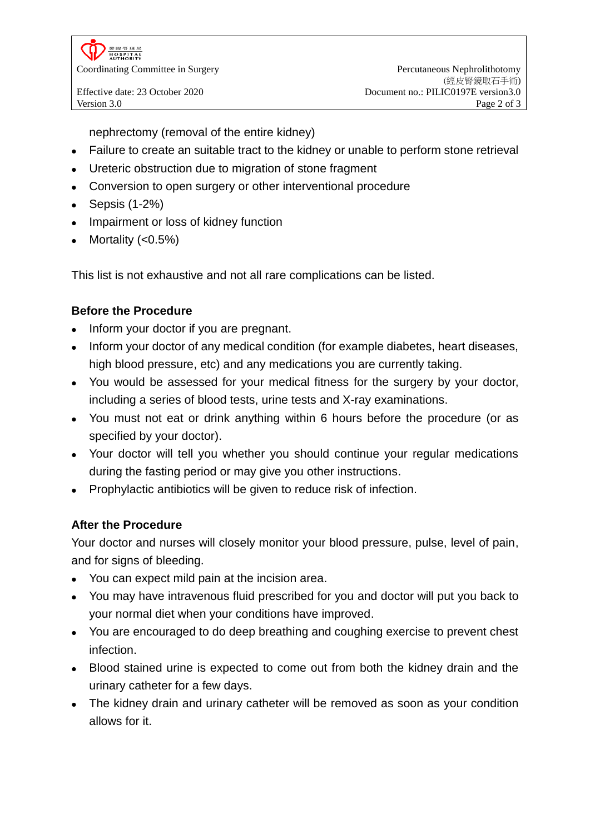nephrectomy (removal of the entire kidney)

- Failure to create an suitable tract to the kidney or unable to perform stone retrieval
- Ureteric obstruction due to migration of stone fragment
- Conversion to open surgery or other interventional procedure
- $\bullet$  Sepsis (1-2%)
- Impairment or loss of kidney function
- Mortality (<0.5%)

This list is not exhaustive and not all rare complications can be listed.

# **Before the Procedure**

- Inform your doctor if you are pregnant.
- Inform your doctor of any medical condition (for example diabetes, heart diseases, high blood pressure, etc) and any medications you are currently taking.
- You would be assessed for your medical fitness for the surgery by your doctor, including a series of blood tests, urine tests and X-ray examinations.
- You must not eat or drink anything within 6 hours before the procedure (or as specified by your doctor).
- Your doctor will tell you whether you should continue your regular medications during the fasting period or may give you other instructions.
- Prophylactic antibiotics will be given to reduce risk of infection.

# **After the Procedure**

Your doctor and nurses will closely monitor your blood pressure, pulse, level of pain, and for signs of bleeding.

- You can expect mild pain at the incision area.
- You may have intravenous fluid prescribed for you and doctor will put you back to your normal diet when your conditions have improved.
- You are encouraged to do deep breathing and coughing exercise to prevent chest infection.
- Blood stained urine is expected to come out from both the kidney drain and the urinary catheter for a few days.
- The kidney drain and urinary catheter will be removed as soon as your condition allows for it.